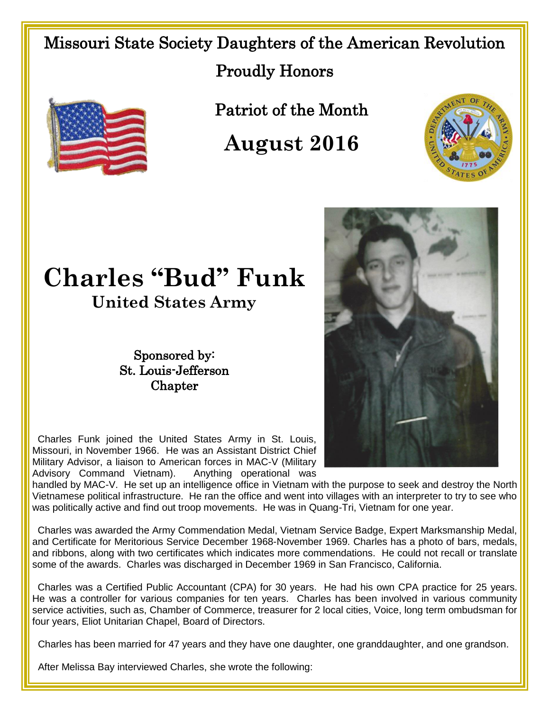Missouri State Society Daughters of the American Revolution Proudly Honors



Patriot of the Month

**August 2016**



## **Charles "Bud" Funk**

**United States Army**

Sponsored by: St. Louis-Jefferson **Chapter** 



Charles Funk joined the United States Army in St. Louis, Missouri, in November 1966. He was an Assistant District Chief Military Advisor, a liaison to American forces in MAC-V (Military Advisory Command Vietnam). Anything operational was

handled by MAC-V. He set up an intelligence office in Vietnam with the purpose to seek and destroy the North Vietnamese political infrastructure. He ran the office and went into villages with an interpreter to try to see who was politically active and find out troop movements. He was in Quang-Tri, Vietnam for one year.

 Charles was awarded the Army Commendation Medal, Vietnam Service Badge, Expert Marksmanship Medal, and Certificate for Meritorious Service December 1968-November 1969. Charles has a photo of bars, medals, and ribbons, along with two certificates which indicates more commendations. He could not recall or translate some of the awards. Charles was discharged in December 1969 in San Francisco, California.

 Charles was a Certified Public Accountant (CPA) for 30 years. He had his own CPA practice for 25 years. He was a controller for various companies for ten years. Charles has been involved in various community service activities, such as, Chamber of Commerce, treasurer for 2 local cities, Voice, long term ombudsman for four years, Eliot Unitarian Chapel, Board of Directors.

Charles has been married for 47 years and they have one daughter, one granddaughter, and one grandson.

After Melissa Bay interviewed Charles, she wrote the following: